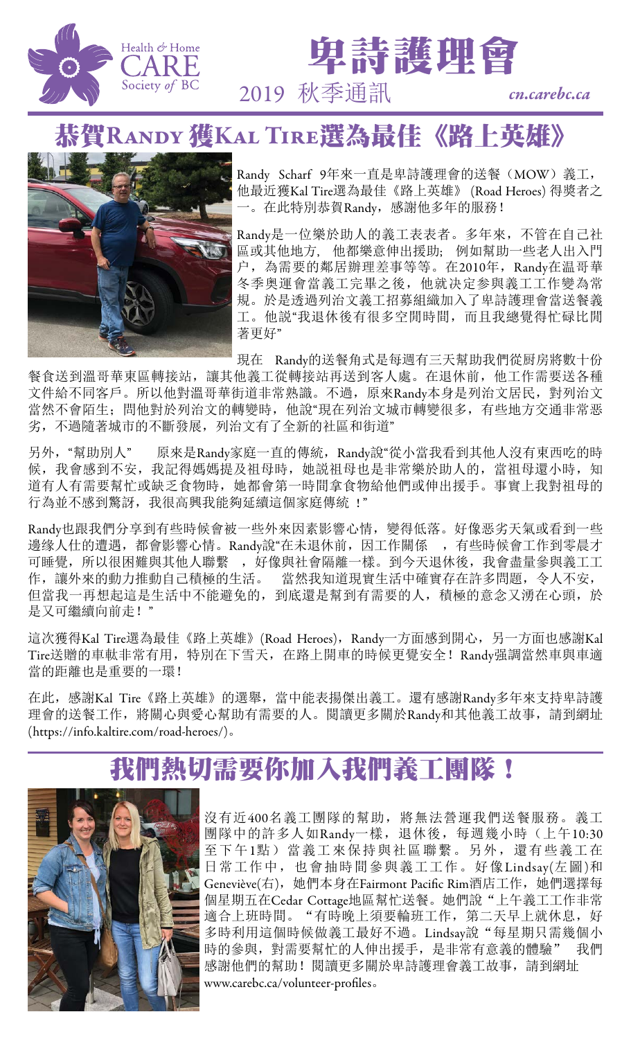



## 恭賀Randy 獲Kal Tire選為最佳《路上英雄》



Randy Scharf 9年來一直是卑詩護理會的送餐(MOW)義工, 他最近獲Kal Tire選為最佳《路上英雄》 (Road Heroes) 得獎者之 一。在此特別恭賀Randy,感謝他多年的服務!

Randy是一位樂於助人的義工表表者。多年來,不管在自己社 區或其他地方, 他都樂意伸出援助; 例如幫助一些老人出入門 户,為需要的鄰居辦理差事等等。在2010年, Randy在温哥華 冬季奥運會當義工完畢之後,他就决定参與義工工作變為常 規。於是透過列治文義工招募組織加入了卑詩護理會當送餐義 工。他説"我退休後有很多空閒時間,而且我總覺得忙碌比閒 著更好"

現在 Randy的送餐角式是每週有三天幫助我們從厨房將數十份 餐食送到溫哥華東區轉接站,讓其他義工從轉接站再送到客人處。在退休前,他工作需要送各種 文件給不同客戶。所以他對溫哥華街道非常熟識。不過,原來Randy本身是列治文居民,對列治文 當然不會陌生;問他對於列治文的轉變時,他說"現在列治文城市轉變很多,有些地方交通非常恶 劣,不過隨著城市的不斷發展,列治文有了全新的社區和街道"

另外,"幫助別人" 原來是Randy家庭一直的傳統,Randy說"從小當我看到其他人沒有東西吃的時 候,我會感到不安,我記得媽媽提及祖母時,她説祖母也是非常樂於助人的,當祖母還小時,知 道有人有需要幫忙或缺乏食物時,她都會第一時間拿食物給他們或伸出援手。事實上我對祖母的 行為並不感到驚訝,我很高興我能夠延續這個家庭傳統 !"

Randy也跟我們分享到有些時候會被一些外來因素影響心情,變得低落。好像恶劣天氣或看到一些 邊缘人仕的遭遇,都會影響心情。Randy說"在未退休前,因工作關係,,有些時候會工作到零晨才 可睡覺,所以很困難與其他人聯繫,,好像與社會隔離一樣。到今天退休後,我會盡量參與義工工 作,讓外來的動力推動自己積極的生活。 當然我知道現實生活中確實存在許多問題,令人不安, 但當我一再想起這是生活中不能避免的,到底還是幫到有需要的人,積極的意念又湧在心頭,於 是又可繼續向前走!"

這次獲得Kal Tire選為最佳《路上英雄》(Road Heroes), Randy一方面感到開心, 另一方面也感謝Kal Tire送贈的車軚非常有用,特別在下雪天,在路上開車的時候更覺安全!Randy强調當然車與車適 當的距離也是重要的一環!

在此,感謝Kal Tire《路上英雄》的選舉,當中能表揚傑出義工。還有感謝Randy多年來支持卑詩護 理會的送餐工作,將關心與愛心幫助有需要的人。閱讀更多關於Randy和其他義工故事,請到網址 (https://info.kaltire.com/road-heroes/)。

# 我們熱切需要你加入我們義工團隊!



沒有近400名義工團隊的幫助,將無法營運我們送餐服務。義工 團隊中的許多人如Randy一樣,退休後,每週幾小時(上午10:30 至下午1點)當義工來保持與社區聯繫。另外,還有些義工在 日常工作中,也會抽時間參與義工工作。好像Lindsay(左圖)和 Geneviève(右), 她們本身在Fairmont Pacific Rim酒店工作, 她們選擇每 個星期五在Cedar Cottage地區幫忙送餐。她們說"上午義工工作非常 適合上班時間。"有時晚上須要輪班工作, 第二天早上就休息, 好 多時利用這個時候做義工最好不過。Lindsay說"每星期只需幾個小 時的參與,對需要幫忙的人伸出援手,是非常有意義的體驗" 我們 感謝他們的幫助!閱讀更多關於卑詩護理會義工故事,請到網址 www.carebc.ca/volunteer-profiles。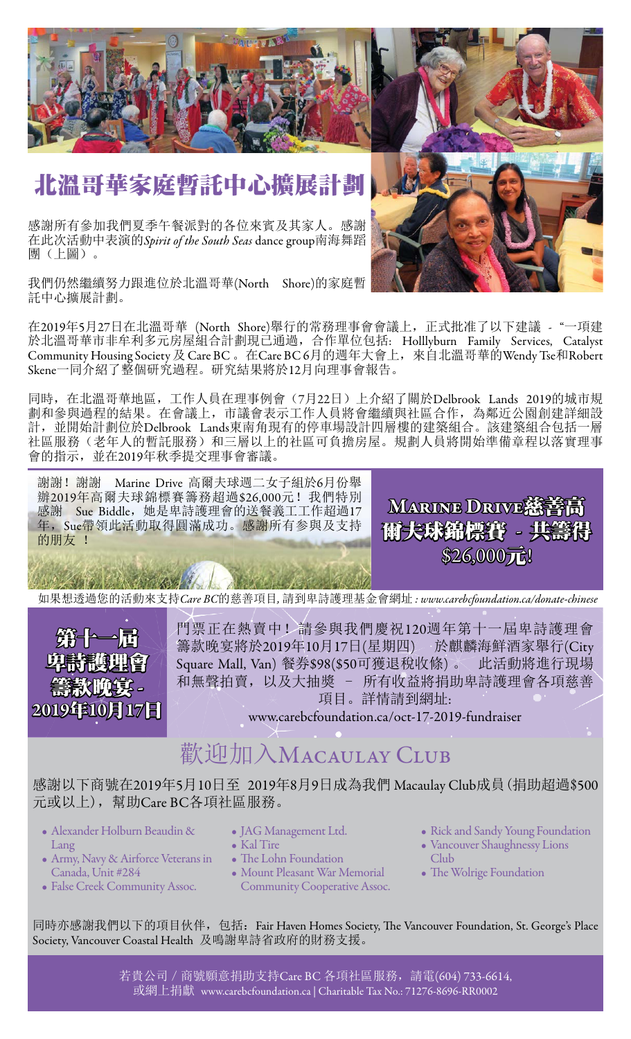

# 北溫哥華家庭暫託中心擴展計劃

感謝所有參加我們夏季午餐派對的各位來賓及其家人。感謝 在此次活動中表演的*Spirit of the South Seas* dance group南海舞蹈 團(上圖)。

我們仍然繼續努力跟進位於北溫哥華(North Shore)的家庭暫 託中心擴展計劃。

在2019年5月27日在北溫哥華 (North Shore)舉行的常務理事會會議上,正式批准了以下建議 - "一項建 於北溫哥華市非牟利多元房屋組合計劃現已通過,合作單位包括: Holllyburn Family Services, Catalyst Community Housing Society 及 Care BC 。在Care BC 6月的週年大會上,來自北溫哥華的Wendy Tse和Robert Skene一同介紹了整個研究過程。研究結果將於12月向理事會報告。

同時,在北溫哥華地區,工作人員在理事例會(7月22日)上介紹了關於Delbrook Lands 2019的城市規 劃和參與過程的結果。在會議上,市議會表示工作人員將會繼續與社區合作,為鄰近公園創建詳細設 計,並開始計劃位於Delbrook Lands東南角現有的停車場設計四層樓的建築組合。該建築組合包括一層 社區服務(老年人的暫託服務)和三層以上的社區可負擔房屋。規劃人員將開始準備章程以落實理事 會的指示,並在2019年秋季提交理事會審議。

謝謝!謝謝 Marine Drive 高爾夫球週二女子組於6月份舉 辦2019年高爾夫球錦標賽籌務超過\$26,000元!我們特別 感謝 Sue Biddle,她是卑詩護理會的送餐義工工作超過17 年,Sue帶領此活動取得圓滿成功。感謝所有参與及支持 的朋友 !

Service of the Alexander

如果想透過您的活動來支持*Care BC*的慈善項目*,* 請到卑詩護理基金會網址 *: www.carebcfoundation.ca/donate-chinese*



門票正在熱賣中!請參與我們慶祝120週年第十一屆卑詩護理會 籌款晚宴將於2019年10月17日(星期四) 於麒麟海鮮酒家舉行(City Square Mall, Van) 餐券\$98(\$50可獲退稅收條) 。 此活動將進行現場 和無聲拍賣,以及大抽獎 - 所有收益將捐助卑詩護理會各項慈善 項目。詳情請到網址:

www.carebcfoundation.ca/oct-17-2019-fundraiser

## 歡迎加入MACAULAY CLUB

感謝以下商號在2019年5月10日至 2019年8月9日成為我們 Macaulay Club成員(捐助超過\$500 元或以上),幫助Care BC各項社區服務。

- Alexander Holburn Beaudin & Lang
- Army, Navy & Airforce Veterans in Canada, Unit #284
- False Creek Community Assoc.
- JAG Management Ltd.
- Kal Tire
- The Lohn Foundation
- Mount Pleasant War Memorial Community Cooperative Assoc.
- Rick and Sandy Young Foundation
- Vancouver Shaughnessy Lions Club
- The Wolrige Foundation

同時亦感謝我們以下的項目伙伴, 包括: Fair Haven Homes Society, The Vancouver Foundation, St. George's Place Society, Vancouver Coastal Health 及鳴謝卑詩省政府的財務支援。

> 若貴公司 / 商號願意捐助支持Care BC 各項社區服務, 請電(604) 733-6614, 或網上捐獻 www.carebcfoundation.ca | Charitable Tax No.: 71276-8696-RR0002



MARINE DRIVE慈善高

爾夫球錦標賽 - 共籌得

\$26,000元!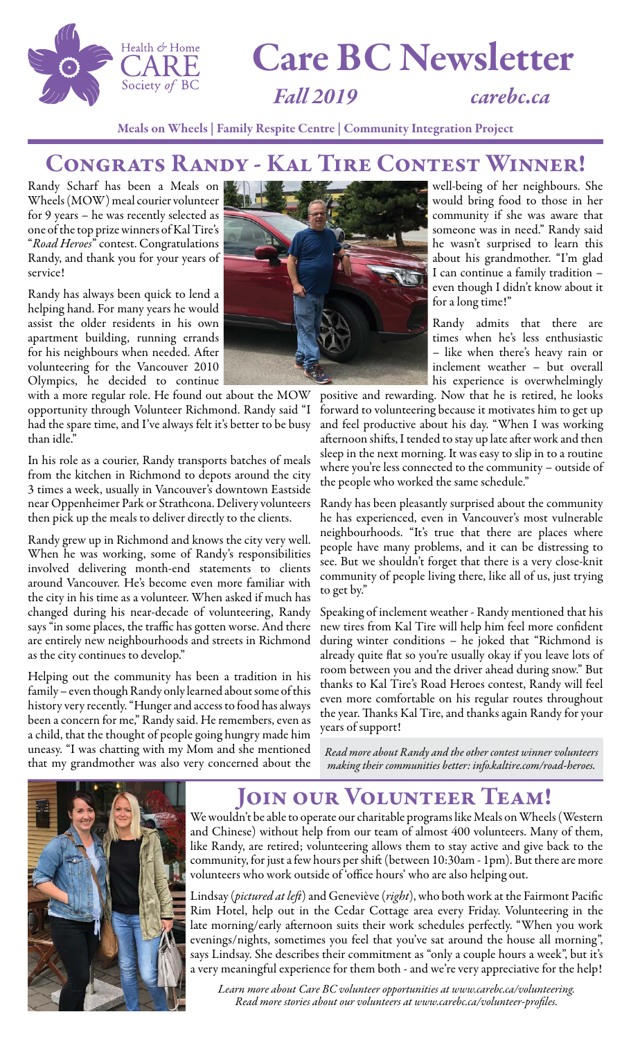

# Care BC Newsletter

*Fall 2019 carebc.ca*

Meals on Wheels | Family Respite Centre | Community Integration Project

#### Congrats Randy - Kal Tire Contest Winner!

Randy Scharf has been a Meals on Wheels (MOW) meal courier volunteer for 9 years – he was recently selected as one of the top prize winners of Kal Tire's "*Road Heroes*" contest. Congratulations Randy, and thank you for your years of service!

Randy has always been quick to lend a helping hand. For many years he would assist the older residents in his own apartment building, running errands for his neighbours when needed. After volunteering for the Vancouver 2010 Olympics, he decided to continue

with a more regular role. He found out about the MOW opportunity through Volunteer Richmond. Randy said "I had the spare time, and I've always felt it's better to be busy than idle."

In his role as a courier, Randy transports batches of meals from the kitchen in Richmond to depots around the city 3 times a week, usually in Vancouver's downtown Eastside near Oppenheimer Park or Strathcona. Delivery volunteers then pick up the meals to deliver directly to the clients.

Randy grew up in Richmond and knows the city very well. When he was working, some of Randy's responsibilities involved delivering month-end statements to clients around Vancouver. He's become even more familiar with the city in his time as a volunteer. When asked if much has changed during his near-decade of volunteering, Randy says "in some places, the traffic has gotten worse. And there are entirely new neighbourhoods and streets in Richmond as the city continues to develop."

Helping out the community has been a tradition in his family – even though Randy only learned about some of this history very recently. "Hunger and access to food has always been a concern for me," Randy said. He remembers, even as a child, that the thought of people going hungry made him uneasy. "I was chatting with my Mom and she mentioned that my grandmother was also very concerned about the



well-being of her neighbours. She would bring food to those in her community if she was aware that someone was in need." Randy said he wasn't surprised to learn this about his grandmother. "I'm glad I can continue a family tradition – even though I didn't know about it for a long time!"

Randy admits that there are times when he's less enthusiastic – like when there's heavy rain or inclement weather – but overall his experience is overwhelmingly

positive and rewarding. Now that he is retired, he looks forward to volunteering because it motivates him to get up and feel productive about his day. "When I was working afternoon shifts, I tended to stay up late after work and then sleep in the next morning. It was easy to slip in to a routine where you're less connected to the community – outside of the people who worked the same schedule."

Randy has been pleasantly surprised about the community he has experienced, even in Vancouver's most vulnerable neighbourhoods. "It's true that there are places where people have many problems, and it can be distressing to see. But we shouldn't forget that there is a very close-knit community of people living there, like all of us, just trying to get by."

Speaking of inclement weather - Randy mentioned that his new tires from Kal Tire will help him feel more confident during winter conditions – he joked that "Richmond is already quite flat so you're usually okay if you leave lots of room between you and the driver ahead during snow." But thanks to Kal Tire's Road Heroes contest, Randy will feel even more comfortable on his regular routes throughout the year. Thanks Kal Tire, and thanks again Randy for your years of support!

*Read more about Randy and the other contest winner volunteers making their communities better: info.kaltire.com/road-heroes.*



#### JOIN OUR VOLUNTEER TEAM!

We wouldn't be able to operate our charitable programs like Meals on Wheels (Western and Chinese) without help from our team of almost 400 volunteers. Many of them, like Randy, are retired; volunteering allows them to stay active and give back to the community, for just a few hours per shift (between 10:30am - 1pm). But there are more volunteers who work outside of 'office hours' who are also helping out.

Lindsay (*pictured at left*) and Geneviève (*right*), who both work at the Fairmont Pacific Rim Hotel, help out in the Cedar Cottage area every Friday. Volunteering in the late morning/early afternoon suits their work schedules perfectly. "When you work evenings/nights, sometimes you feel that you've sat around the house all morning", says Lindsay. She describes their commitment as "only a couple hours a week", but it's a very meaningful experience for them both - and we're very appreciative for the help!

*Learn more about Care BC volunteer opportunities at www.carebc.ca/volunteering.*  Read more stories about our volunteers at www.carebc.ca/volunteer-profiles.